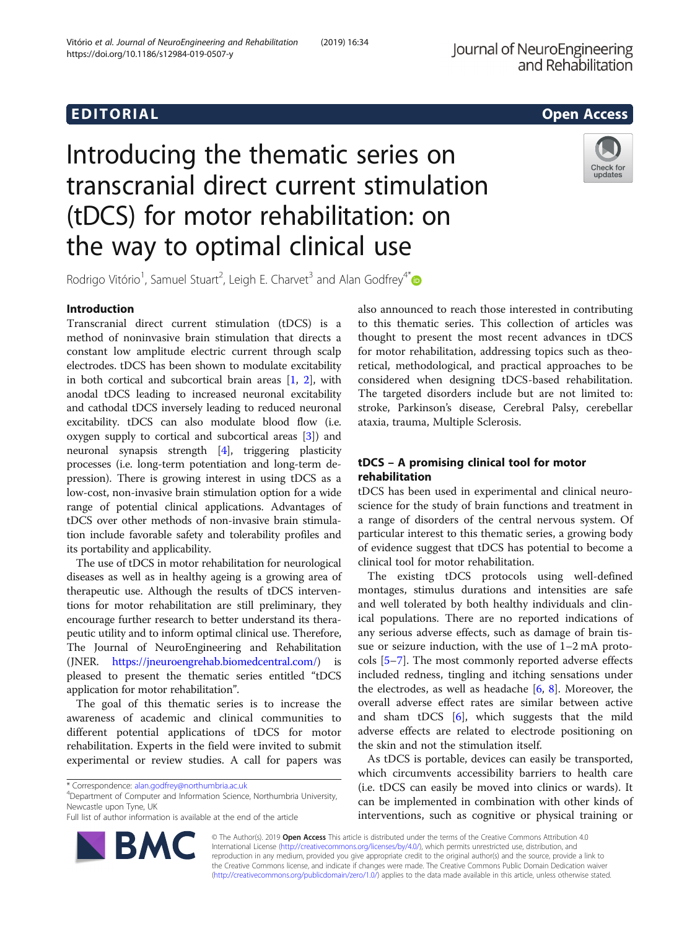# EDI TORIA L Open Access

# Introducing the thematic series on transcranial direct current stimulation (tDCS) for motor rehabilitation: on the way to optimal clinical use



Rodrigo Vitório<sup>1</sup>, Samuel Stuart<sup>2</sup>, Leigh E. Charvet<sup>3</sup> and Alan Godfrey<sup>4[\\*](http://orcid.org/0000-0003-4049-9291)</sup>

# Introduction

Transcranial direct current stimulation (tDCS) is a method of noninvasive brain stimulation that directs a constant low amplitude electric current through scalp electrodes. tDCS has been shown to modulate excitability in both cortical and subcortical brain areas [[1,](#page-1-0) [2](#page-1-0)], with anodal tDCS leading to increased neuronal excitability and cathodal tDCS inversely leading to reduced neuronal excitability. tDCS can also modulate blood flow (i.e. oxygen supply to cortical and subcortical areas [\[3](#page-1-0)]) and neuronal synapsis strength [\[4](#page-1-0)], triggering plasticity processes (i.e. long-term potentiation and long-term depression). There is growing interest in using tDCS as a low-cost, non-invasive brain stimulation option for a wide range of potential clinical applications. Advantages of tDCS over other methods of non-invasive brain stimulation include favorable safety and tolerability profiles and its portability and applicability.

The use of tDCS in motor rehabilitation for neurological diseases as well as in healthy ageing is a growing area of therapeutic use. Although the results of tDCS interventions for motor rehabilitation are still preliminary, they encourage further research to better understand its therapeutic utility and to inform optimal clinical use. Therefore, The Journal of NeuroEngineering and Rehabilitation (JNER. [https://jneuroengrehab.biomedcentral.com/\)](https://jneuroengrehab.biomedcentral.com/) is pleased to present the thematic series entitled "tDCS application for motor rehabilitation".

The goal of this thematic series is to increase the awareness of academic and clinical communities to different potential applications of tDCS for motor rehabilitation. Experts in the field were invited to submit experimental or review studies. A call for papers was

**BM** 

Department of Computer and Information Science, Northumbria University, Newcastle upon Tyne, UK

also announced to reach those interested in contributing to this thematic series. This collection of articles was thought to present the most recent advances in tDCS for motor rehabilitation, addressing topics such as theoretical, methodological, and practical approaches to be considered when designing tDCS-based rehabilitation. The targeted disorders include but are not limited to: stroke, Parkinson's disease, Cerebral Palsy, cerebellar ataxia, trauma, Multiple Sclerosis.

# tDCS – A promising clinical tool for motor rehabilitation

tDCS has been used in experimental and clinical neuroscience for the study of brain functions and treatment in a range of disorders of the central nervous system. Of particular interest to this thematic series, a growing body of evidence suggest that tDCS has potential to become a clinical tool for motor rehabilitation.

The existing tDCS protocols using well-defined montages, stimulus durations and intensities are safe and well tolerated by both healthy individuals and clinical populations. There are no reported indications of any serious adverse effects, such as damage of brain tissue or seizure induction, with the use of 1–2 mA protocols [[5](#page-1-0)–[7\]](#page-2-0). The most commonly reported adverse effects included redness, tingling and itching sensations under the electrodes, as well as headache  $[6, 8]$  $[6, 8]$  $[6, 8]$ . Moreover, the overall adverse effect rates are similar between active and sham tDCS [[6\]](#page-1-0), which suggests that the mild adverse effects are related to electrode positioning on the skin and not the stimulation itself.

As tDCS is portable, devices can easily be transported, which circumvents accessibility barriers to health care (i.e. tDCS can easily be moved into clinics or wards). It can be implemented in combination with other kinds of interventions, such as cognitive or physical training or

© The Author(s). 2019 **Open Access** This article is distributed under the terms of the Creative Commons Attribution 4.0 International License [\(http://creativecommons.org/licenses/by/4.0/](http://creativecommons.org/licenses/by/4.0/)), which permits unrestricted use, distribution, and reproduction in any medium, provided you give appropriate credit to the original author(s) and the source, provide a link to the Creative Commons license, and indicate if changes were made. The Creative Commons Public Domain Dedication waiver [\(http://creativecommons.org/publicdomain/zero/1.0/](http://creativecommons.org/publicdomain/zero/1.0/)) applies to the data made available in this article, unless otherwise stated.

<sup>\*</sup> Correspondence: [alan.godfrey@northumbria.ac.uk](mailto:alan.godfrey@northumbria.ac.uk) <sup>4</sup>

Full list of author information is available at the end of the article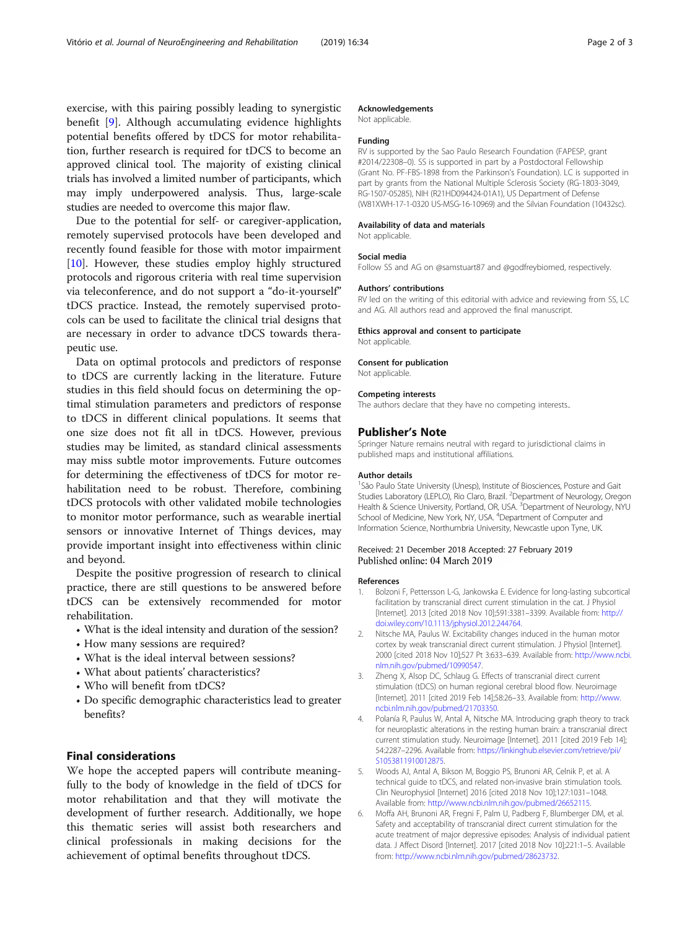<span id="page-1-0"></span>exercise, with this pairing possibly leading to synergistic benefit [[9](#page-2-0)]. Although accumulating evidence highlights potential benefits offered by tDCS for motor rehabilitation, further research is required for tDCS to become an approved clinical tool. The majority of existing clinical trials has involved a limited number of participants, which may imply underpowered analysis. Thus, large-scale studies are needed to overcome this major flaw.

Due to the potential for self- or caregiver-application, remotely supervised protocols have been developed and recently found feasible for those with motor impairment [[10\]](#page-2-0). However, these studies employ highly structured protocols and rigorous criteria with real time supervision via teleconference, and do not support a "do-it-yourself" tDCS practice. Instead, the remotely supervised protocols can be used to facilitate the clinical trial designs that are necessary in order to advance tDCS towards therapeutic use.

Data on optimal protocols and predictors of response to tDCS are currently lacking in the literature. Future studies in this field should focus on determining the optimal stimulation parameters and predictors of response to tDCS in different clinical populations. It seems that one size does not fit all in tDCS. However, previous studies may be limited, as standard clinical assessments may miss subtle motor improvements. Future outcomes for determining the effectiveness of tDCS for motor rehabilitation need to be robust. Therefore, combining tDCS protocols with other validated mobile technologies to monitor motor performance, such as wearable inertial sensors or innovative Internet of Things devices, may provide important insight into effectiveness within clinic and beyond.

Despite the positive progression of research to clinical practice, there are still questions to be answered before tDCS can be extensively recommended for motor rehabilitation.

- What is the ideal intensity and duration of the session?
- How many sessions are required?
- What is the ideal interval between sessions?
- What about patients' characteristics?
- Who will benefit from tDCS?
- Do specific demographic characteristics lead to greater benefits?

## Final considerations

We hope the accepted papers will contribute meaningfully to the body of knowledge in the field of tDCS for motor rehabilitation and that they will motivate the development of further research. Additionally, we hope this thematic series will assist both researchers and clinical professionals in making decisions for the achievement of optimal benefits throughout tDCS.

#### Acknowledgements

Not applicable.

#### Funding

RV is supported by the Sao Paulo Research Foundation (FAPESP, grant #2014/22308–0). SS is supported in part by a Postdoctoral Fellowship (Grant No. PF-FBS-1898 from the Parkinson's Foundation). LC is supported in part by grants from the National Multiple Sclerosis Society (RG-1803-3049, RG-1507-05285), NIH (R21HD094424-01A1), US Department of Defense (W81XWH-17-1-0320 US-MSG-16-10969) and the Silvian Foundation (10432sc).

#### Availability of data and materials

Not applicable.

#### Social media

Follow SS and AG on @samstuart87 and @godfreybiomed, respectively.

#### Authors' contributions

RV led on the writing of this editorial with advice and reviewing from SS, LC and AG. All authors read and approved the final manuscript.

#### Ethics approval and consent to participate

Not applicable.

#### Consent for publication

Not applicable.

#### Competing interests

The authors declare that they have no competing interests..

#### Publisher's Note

Springer Nature remains neutral with regard to jurisdictional claims in published maps and institutional affiliations.

#### Author details

<sup>1</sup> São Paulo State University (Unesp), Institute of Biosciences, Posture and Gait Studies Laboratory (LEPLO), Rio Claro, Brazil. <sup>2</sup>Department of Neurology, Oregon Health & Science University, Portland, OR, USA.<sup>3</sup> Department of Neurology, NYU School of Medicine, New York, NY, USA. <sup>4</sup>Department of Computer and Information Science, Northumbria University, Newcastle upon Tyne, UK.

### Received: 21 December 2018 Accepted: 27 February 2019 Published online: 04 March 2019

#### References

- 1. Bolzoni F, Pettersson L-G, Jankowska E. Evidence for long-lasting subcortical facilitation by transcranial direct current stimulation in the cat. J Physiol [Internet]. 2013 [cited 2018 Nov 10];591:3381–3399. Available from: [http://](http://doi.wiley.com/10.1113/jphysiol.2012.244764) [doi.wiley.com/10.1113/jphysiol.2012.244764](http://doi.wiley.com/10.1113/jphysiol.2012.244764).
- 2. Nitsche MA, Paulus W. Excitability changes induced in the human motor cortex by weak transcranial direct current stimulation. J Physiol [Internet]. 2000 [cited 2018 Nov 10];527 Pt 3:633–639. Available from: [http://www.ncbi.](http://www.ncbi.nlm.nih.gov/pubmed/10990547) [nlm.nih.gov/pubmed/10990547.](http://www.ncbi.nlm.nih.gov/pubmed/10990547)
- 3. Zheng X, Alsop DC, Schlaug G. Effects of transcranial direct current stimulation (tDCS) on human regional cerebral blood flow. Neuroimage [Internet]. 2011 [cited 2019 Feb 14];58:26–33. Available from: [http://www.](http://www.ncbi.nlm.nih.gov/pubmed/21703350) [ncbi.nlm.nih.gov/pubmed/21703350](http://www.ncbi.nlm.nih.gov/pubmed/21703350).
- 4. Polanía R, Paulus W, Antal A, Nitsche MA. Introducing graph theory to track for neuroplastic alterations in the resting human brain: a transcranial direct current stimulation study. Neuroimage [Internet]. 2011 [cited 2019 Feb 14]; 54:2287–2296. Available from: [https://linkinghub.elsevier.com/retrieve/pii/](https://linkinghub.elsevier.com/retrieve/pii/S1053811910012875) [S1053811910012875.](https://linkinghub.elsevier.com/retrieve/pii/S1053811910012875)
- 5. Woods AJ, Antal A, Bikson M, Boggio PS, Brunoni AR, Celnik P, et al. A technical guide to tDCS, and related non-invasive brain stimulation tools. Clin Neurophysiol [Internet] 2016 [cited 2018 Nov 10];127:1031–1048. Available from: <http://www.ncbi.nlm.nih.gov/pubmed/26652115>.
- 6. Moffa AH, Brunoni AR, Fregni F, Palm U, Padberg F, Blumberger DM, et al. Safety and acceptability of transcranial direct current stimulation for the acute treatment of major depressive episodes: Analysis of individual patient data. J Affect Disord [Internet]. 2017 [cited 2018 Nov 10];221:1–5. Available from: [http://www.ncbi.nlm.nih.gov/pubmed/28623732.](http://www.ncbi.nlm.nih.gov/pubmed/28623732)